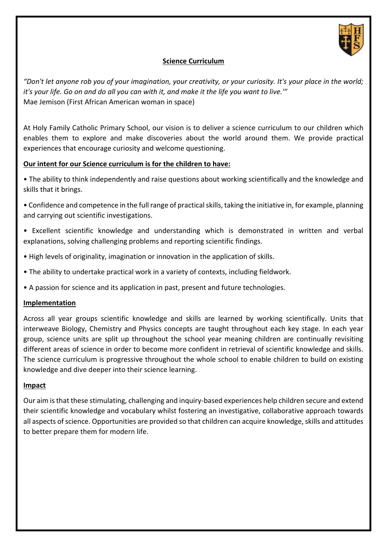

## **Science Curriculum**

*"Don't let anyone rob you of your imagination, your creativity, or your curiosity. It's your place in the world; it's your life. Go on and do all you can with it, and make it the life you want to live.'"* Mae Jemison (First African American woman in space)

At Holy Family Catholic Primary School, our vision is to deliver a science curriculum to our children which enables them to explore and make discoveries about the world around them. We provide practical experiences that encourage curiosity and welcome questioning.

## **Our intent for our Science curriculum is for the children to have:**

• The ability to think independently and raise questions about working scientifically and the knowledge and skills that it brings.

- Confidence and competence in the full range of practical skills, taking the initiative in, for example, planning and carrying out scientific investigations.
- Excellent scientific knowledge and understanding which is demonstrated in written and verbal explanations, solving challenging problems and reporting scientific findings.
- High levels of originality, imagination or innovation in the application of skills.
- The ability to undertake practical work in a variety of contexts, including fieldwork.
- A passion for science and its application in past, present and future technologies.

## **Implementation**

Across all year groups scientific knowledge and skills are learned by working scientifically. Units that interweave Biology, Chemistry and Physics concepts are taught throughout each key stage. In each year group, science units are split up throughout the school year meaning children are continually revisiting different areas of science in order to become more confident in retrieval of scientific knowledge and skills. The science curriculum is progressive throughout the whole school to enable children to build on existing knowledge and dive deeper into their science learning.

## **Impact**

Our aim is that these stimulating, challenging and inquiry-based experiences help children secure and extend their scientific knowledge and vocabulary whilst fostering an investigative, collaborative approach towards all aspects of science. Opportunities are provided so that children can acquire knowledge, skills and attitudes to better prepare them for modern life.